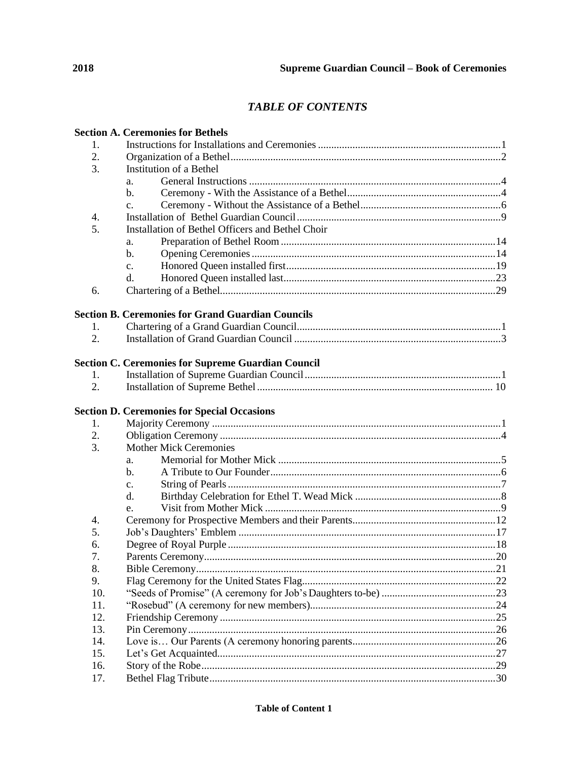## **TABLE OF CONTENTS**

|                  | <b>Section A. Ceremonies for Bethels</b>                  |  |
|------------------|-----------------------------------------------------------|--|
| 1.               |                                                           |  |
| 2.               |                                                           |  |
| 3.               | Institution of a Bethel                                   |  |
|                  | a.                                                        |  |
|                  | $\mathbf{b}$ .                                            |  |
|                  | c.                                                        |  |
| 4.               |                                                           |  |
| 5.               | Installation of Bethel Officers and Bethel Choir          |  |
|                  | a.                                                        |  |
|                  | b.                                                        |  |
|                  | $\mathbf{c}$ .                                            |  |
|                  | d.                                                        |  |
| 6.               |                                                           |  |
|                  |                                                           |  |
|                  | <b>Section B. Ceremonies for Grand Guardian Councils</b>  |  |
| 1.               |                                                           |  |
| $\overline{2}$ . |                                                           |  |
|                  |                                                           |  |
|                  | <b>Section C. Ceremonies for Supreme Guardian Council</b> |  |
| 1.               |                                                           |  |
| 2.               |                                                           |  |
|                  | <b>Section D. Ceremonies for Special Occasions</b>        |  |
| 1.               |                                                           |  |
| 2.               |                                                           |  |
| 3.               | <b>Mother Mick Ceremonies</b>                             |  |
|                  | a.                                                        |  |
|                  | b.                                                        |  |
|                  | c.                                                        |  |
|                  | d.                                                        |  |
|                  | e.                                                        |  |
| 4.               |                                                           |  |
| 5.               |                                                           |  |
| 6.               |                                                           |  |
|                  |                                                           |  |
| 7.               |                                                           |  |
| 8.               |                                                           |  |
| 9.               |                                                           |  |
| 10.              |                                                           |  |
| 11.              |                                                           |  |
| 12.              |                                                           |  |
| 13.              |                                                           |  |
| 14.              |                                                           |  |
| 15.              |                                                           |  |
| 16.              |                                                           |  |
| 17.              |                                                           |  |